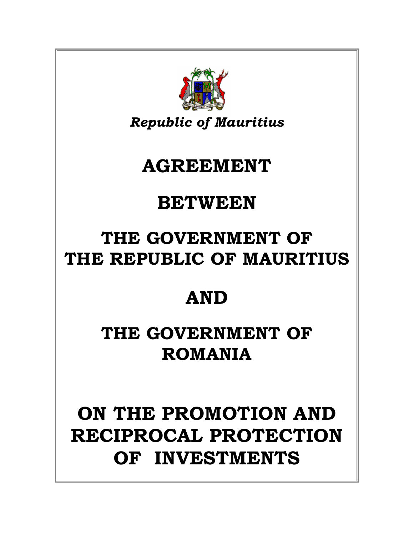# **ON THE PROMOTION AND RECIPROCAL PROTECTION OF INVESTMENTS**

# **THE GOVERNMENT OF ROMANIA**

# **AND**

### **THE GOVERNMENT OF THE REPUBLIC OF MAURITIUS**

### **BETWEEN**

## **AGREEMENT**

*Republic of Mauritius*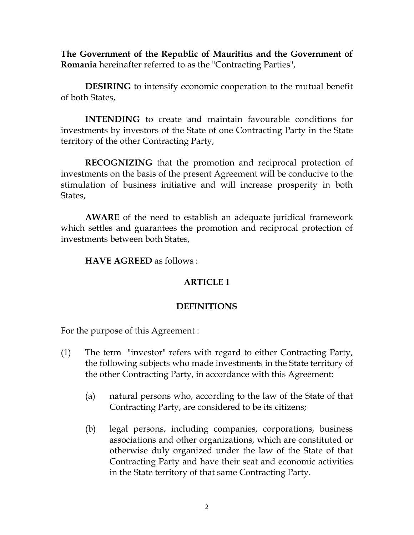**The Government of the Republic of Mauritius and the Government of Romania** hereinafter referred to as the "Contracting Parties",

**DESIRING** to intensify economic cooperation to the mutual benefit of both States,

**INTENDING** to create and maintain favourable conditions for investments by investors of the State of one Contracting Party in the State territory of the other Contracting Party,

**RECOGNIZING** that the promotion and reciprocal protection of investments on the basis of the present Agreement will be conducive to the stimulation of business initiative and will increase prosperity in both States,

**AWARE** of the need to establish an adequate juridical framework which settles and guarantees the promotion and reciprocal protection of investments between both States,

**HAVE AGREED** as follows :

#### **ARTICLE 1**

#### **DEFINITIONS**

For the purpose of this Agreement :

- (1) The term "investor" refers with regard to either Contracting Party, the following subjects who made investments in the State territory of the other Contracting Party, in accordance with this Agreement:
	- (a) natural persons who, according to the law of the State of that Contracting Party, are considered to be its citizens;
	- (b) legal persons, including companies, corporations, business associations and other organizations, which are constituted or otherwise duly organized under the law of the State of that Contracting Party and have their seat and economic activities in the State territory of that same Contracting Party.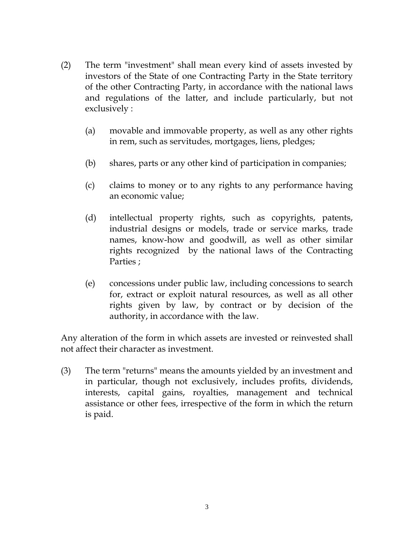- (2) The term "investment" shall mean every kind of assets invested by investors of the State of one Contracting Party in the State territory of the other Contracting Party, in accordance with the national laws and regulations of the latter, and include particularly, but not exclusively :
	- (a) movable and immovable property, as well as any other rights in rem, such as servitudes, mortgages, liens, pledges;
	- (b) shares, parts or any other kind of participation in companies;
	- (c) claims to money or to any rights to any performance having an economic value;
	- (d) intellectual property rights, such as copyrights, patents, industrial designs or models, trade or service marks, trade names, know-how and goodwill, as well as other similar rights recognized by the national laws of the Contracting Parties ;
	- (e) concessions under public law, including concessions to search for, extract or exploit natural resources, as well as all other rights given by law, by contract or by decision of the authority, in accordance with the law.

Any alteration of the form in which assets are invested or reinvested shall not affect their character as investment.

(3) The term "returns" means the amounts yielded by an investment and in particular, though not exclusively, includes profits, dividends, interests, capital gains, royalties, management and technical assistance or other fees, irrespective of the form in which the return is paid.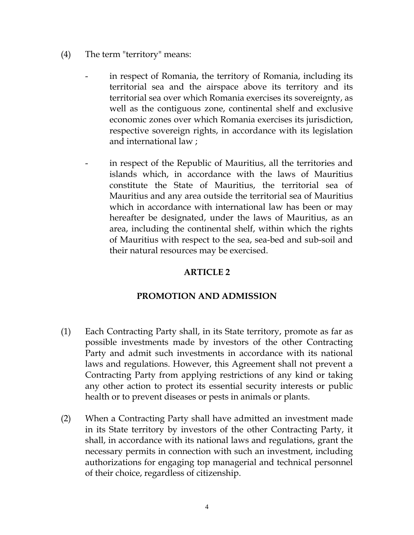- (4) The term "territory" means:
	- in respect of Romania, the territory of Romania, including its territorial sea and the airspace above its territory and its territorial sea over which Romania exercises its sovereignty, as well as the contiguous zone, continental shelf and exclusive economic zones over which Romania exercises its jurisdiction, respective sovereign rights, in accordance with its legislation and international law ;
	- in respect of the Republic of Mauritius, all the territories and islands which, in accordance with the laws of Mauritius constitute the State of Mauritius, the territorial sea of Mauritius and any area outside the territorial sea of Mauritius which in accordance with international law has been or may hereafter be designated, under the laws of Mauritius, as an area, including the continental shelf, within which the rights of Mauritius with respect to the sea, sea-bed and sub-soil and their natural resources may be exercised.

#### **PROMOTION AND ADMISSION**

- (1) Each Contracting Party shall, in its State territory, promote as far as possible investments made by investors of the other Contracting Party and admit such investments in accordance with its national laws and regulations. However, this Agreement shall not prevent a Contracting Party from applying restrictions of any kind or taking any other action to protect its essential security interests or public health or to prevent diseases or pests in animals or plants.
- (2) When a Contracting Party shall have admitted an investment made in its State territory by investors of the other Contracting Party, it shall, in accordance with its national laws and regulations, grant the necessary permits in connection with such an investment, including authorizations for engaging top managerial and technical personnel of their choice, regardless of citizenship.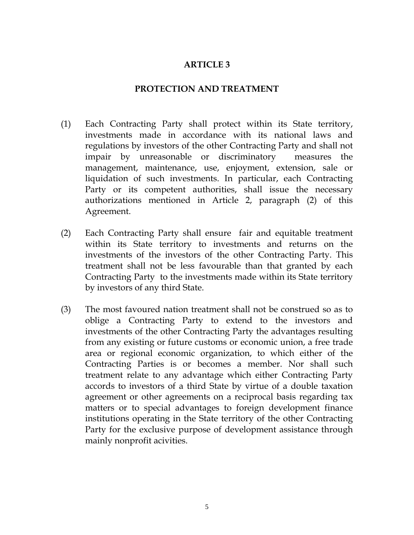#### **PROTECTION AND TREATMENT**

- (1) Each Contracting Party shall protect within its State territory, investments made in accordance with its national laws and regulations by investors of the other Contracting Party and shall not impair by unreasonable or discriminatory measures the management, maintenance, use, enjoyment, extension, sale or liquidation of such investments. In particular, each Contracting Party or its competent authorities, shall issue the necessary authorizations mentioned in Article 2, paragraph (2) of this Agreement.
- (2) Each Contracting Party shall ensure fair and equitable treatment within its State territory to investments and returns on the investments of the investors of the other Contracting Party. This treatment shall not be less favourable than that granted by each Contracting Party to the investments made within its State territory by investors of any third State.
- (3) The most favoured nation treatment shall not be construed so as to oblige a Contracting Party to extend to the investors and investments of the other Contracting Party the advantages resulting from any existing or future customs or economic union, a free trade area or regional economic organization, to which either of the Contracting Parties is or becomes a member. Nor shall such treatment relate to any advantage which either Contracting Party accords to investors of a third State by virtue of a double taxation agreement or other agreements on a reciprocal basis regarding tax matters or to special advantages to foreign development finance institutions operating in the State territory of the other Contracting Party for the exclusive purpose of development assistance through mainly nonprofit acivities.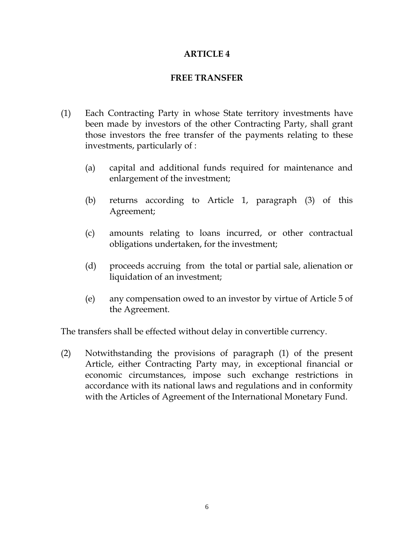#### **FREE TRANSFER**

- (1) Each Contracting Party in whose State territory investments have been made by investors of the other Contracting Party, shall grant those investors the free transfer of the payments relating to these investments, particularly of :
	- (a) capital and additional funds required for maintenance and enlargement of the investment;
	- (b) returns according to Article 1, paragraph (3) of this Agreement;
	- (c) amounts relating to loans incurred, or other contractual obligations undertaken, for the investment;
	- (d) proceeds accruing from the total or partial sale, alienation or liquidation of an investment;
	- (e) any compensation owed to an investor by virtue of Article 5 of the Agreement.

The transfers shall be effected without delay in convertible currency.

(2) Notwithstanding the provisions of paragraph (1) of the present Article, either Contracting Party may, in exceptional financial or economic circumstances, impose such exchange restrictions in accordance with its national laws and regulations and in conformity with the Articles of Agreement of the International Monetary Fund.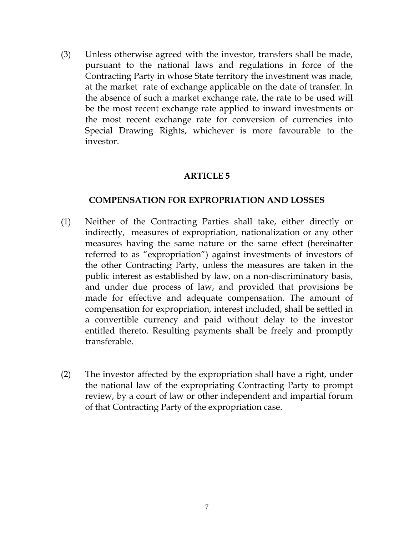(3) Unless otherwise agreed with the investor, transfers shall be made, pursuant to the national laws and regulations in force of the Contracting Party in whose State territory the investment was made, at the market rate of exchange applicable on the date of transfer. In the absence of such a market exchange rate, the rate to be used will be the most recent exchange rate applied to inward investments or the most recent exchange rate for conversion of currencies into Special Drawing Rights, whichever is more favourable to the investor.

#### **ARTICLE 5**

#### **COMPENSATION FOR EXPROPRIATION AND LOSSES**

- (1) Neither of the Contracting Parties shall take, either directly or indirectly, measures of expropriation, nationalization or any other measures having the same nature or the same effect (hereinafter referred to as "expropriation") against investments of investors of the other Contracting Party, unless the measures are taken in the public interest as established by law, on a non-discriminatory basis, and under due process of law, and provided that provisions be made for effective and adequate compensation. The amount of compensation for expropriation, interest included, shall be settled in a convertible currency and paid without delay to the investor entitled thereto. Resulting payments shall be freely and promptly transferable.
- (2) The investor affected by the expropriation shall have a right, under the national law of the expropriating Contracting Party to prompt review, by a court of law or other independent and impartial forum of that Contracting Party of the expropriation case.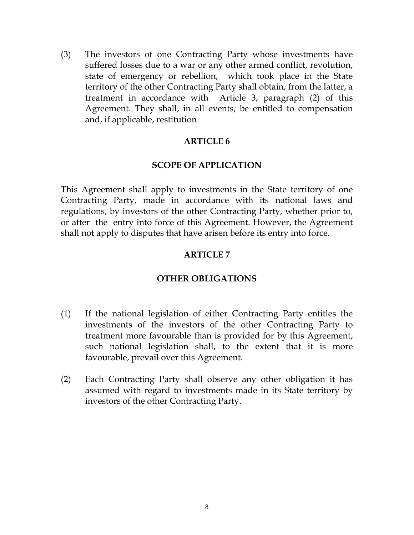(3) The investors of one Contracting Party whose investments have suffered losses due to a war or any other armed conflict, revolution, state of emergency or rebellion, which took place in the State territory of the other Contracting Party shall obtain, from the latter, a treatment in accordance with Article 3, paragraph (2) of this Agreement. They shall, in all events, be entitled to compensation and, if applicable, restitution.

#### **ARTICLE 6**

#### **SCOPE OF APPLICATION**

This Agreement shall apply to investments in the State territory of one Contracting Party, made in accordance with its national laws and regulations, by investors of the other Contracting Party, whether prior to, or after the entry into force of this Agreement. However, the Agreement shall not apply to disputes that have arisen before its entry into force.

#### **ARTICLE 7**

#### **OTHER OBLIGATIONS**

- (1) If the national legislation of either Contracting Party entitles the investments of the investors of the other Contracting Party to treatment more favourable than is provided for by this Agreement, such national legislation shall, to the extent that it is more favourable, prevail over this Agreement.
- (2) Each Contracting Party shall observe any other obligation it has assumed with regard to investments made in its State territory by investors of the other Contracting Party.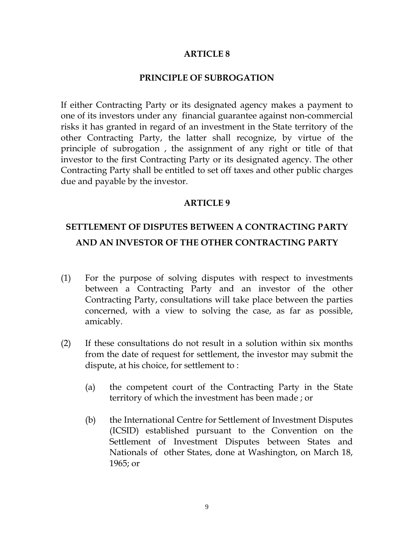#### **PRINCIPLE OF SUBROGATION**

If either Contracting Party or its designated agency makes a payment to one of its investors under any financial guarantee against non-commercial risks it has granted in regard of an investment in the State territory of the other Contracting Party, the latter shall recognize, by virtue of the principle of subrogation , the assignment of any right or title of that investor to the first Contracting Party or its designated agency. The other Contracting Party shall be entitled to set off taxes and other public charges due and payable by the investor.

#### **ARTICLE 9**

### **SETTLEMENT OF DISPUTES BETWEEN A CONTRACTING PARTY AND AN INVESTOR OF THE OTHER CONTRACTING PARTY**

- (1) For the purpose of solving disputes with respect to investments between a Contracting Party and an investor of the other Contracting Party, consultations will take place between the parties concerned, with a view to solving the case, as far as possible, amicably.
- (2) If these consultations do not result in a solution within six months from the date of request for settlement, the investor may submit the dispute, at his choice, for settlement to :
	- (a) the competent court of the Contracting Party in the State territory of which the investment has been made ; or
	- (b) the International Centre for Settlement of Investment Disputes (ICSID) established pursuant to the Convention on the Settlement of Investment Disputes between States and Nationals of other States, done at Washington, on March 18, 1965; or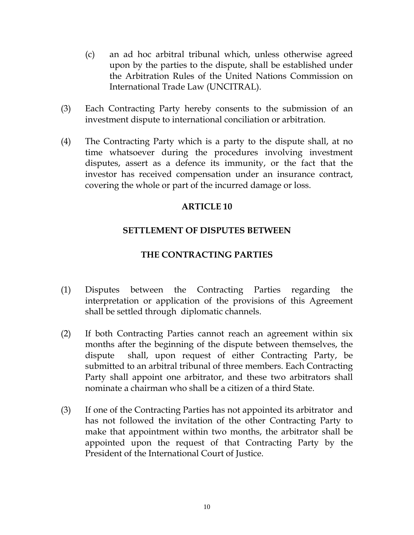- (c) an ad hoc arbitral tribunal which, unless otherwise agreed upon by the parties to the dispute, shall be established under the Arbitration Rules of the United Nations Commission on International Trade Law (UNCITRAL).
- (3) Each Contracting Party hereby consents to the submission of an investment dispute to international conciliation or arbitration.
- (4) The Contracting Party which is a party to the dispute shall, at no time whatsoever during the procedures involving investment disputes, assert as a defence its immunity, or the fact that the investor has received compensation under an insurance contract, covering the whole or part of the incurred damage or loss.

#### **SETTLEMENT OF DISPUTES BETWEEN**

#### **THE CONTRACTING PARTIES**

- (1) Disputes between the Contracting Parties regarding the interpretation or application of the provisions of this Agreement shall be settled through diplomatic channels.
- (2) If both Contracting Parties cannot reach an agreement within six months after the beginning of the dispute between themselves, the dispute shall, upon request of either Contracting Party, be submitted to an arbitral tribunal of three members. Each Contracting Party shall appoint one arbitrator, and these two arbitrators shall nominate a chairman who shall be a citizen of a third State.
- (3) If one of the Contracting Parties has not appointed its arbitrator and has not followed the invitation of the other Contracting Party to make that appointment within two months, the arbitrator shall be appointed upon the request of that Contracting Party by the President of the International Court of Justice.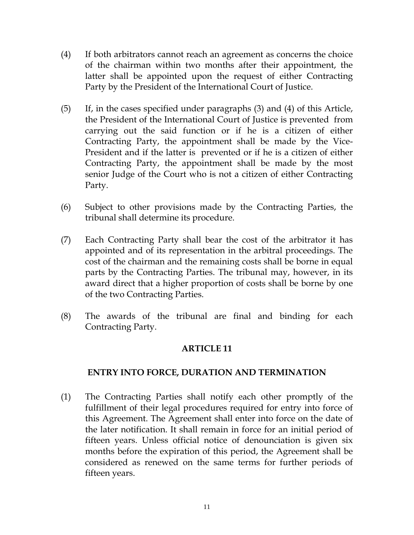- (4) If both arbitrators cannot reach an agreement as concerns the choice of the chairman within two months after their appointment, the latter shall be appointed upon the request of either Contracting Party by the President of the International Court of Justice.
- (5) If, in the cases specified under paragraphs (3) and (4) of this Article, the President of the International Court of Justice is prevented from carrying out the said function or if he is a citizen of either Contracting Party, the appointment shall be made by the Vice-President and if the latter is prevented or if he is a citizen of either Contracting Party, the appointment shall be made by the most senior Judge of the Court who is not a citizen of either Contracting Party.
- (6) Subject to other provisions made by the Contracting Parties, the tribunal shall determine its procedure.
- (7) Each Contracting Party shall bear the cost of the arbitrator it has appointed and of its representation in the arbitral proceedings. The cost of the chairman and the remaining costs shall be borne in equal parts by the Contracting Parties. The tribunal may, however, in its award direct that a higher proportion of costs shall be borne by one of the two Contracting Parties.
- (8) The awards of the tribunal are final and binding for each Contracting Party.

#### **ENTRY INTO FORCE, DURATION AND TERMINATION**

(1) The Contracting Parties shall notify each other promptly of the fulfillment of their legal procedures required for entry into force of this Agreement. The Agreement shall enter into force on the date of the later notification. It shall remain in force for an initial period of fifteen years. Unless official notice of denounciation is given six months before the expiration of this period, the Agreement shall be considered as renewed on the same terms for further periods of fifteen years.